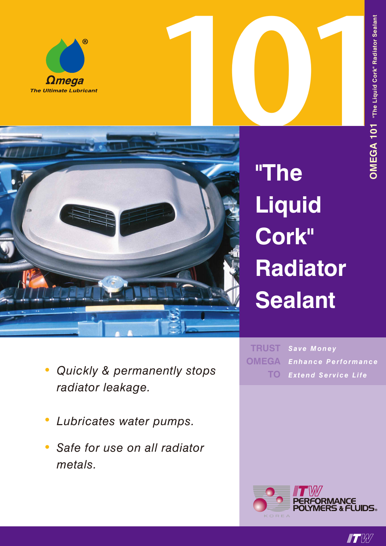





**"The Liquid Cork" Radiator Sealant**

- *• Quickly & permanently stops radiator leakage.*
- *• Lubricates water pumps.*
- *• Safe for use on all radiator metals.*

*Save Money Enhance Performance Extend Service Life* **TRUST OMEGA TO**